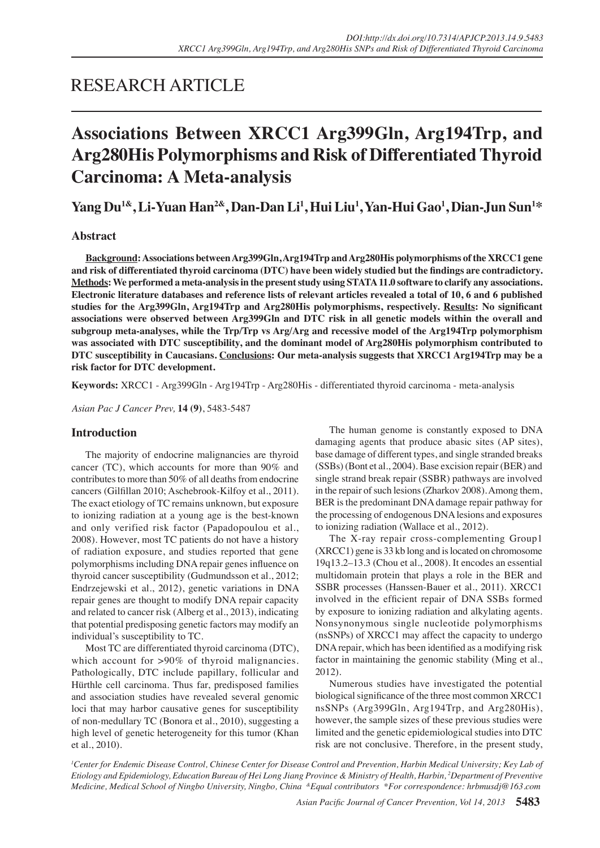## RESEARCH ARTICLE

# **Associations Between XRCC1 Arg399Gln, Arg194Trp, and Arg280His Polymorphisms and Risk of Differentiated Thyroid Carcinoma: A Meta-analysis**

**Yang Du1&, Li-Yuan Han2&, Dan-Dan Li1 , Hui Liu1 , Yan-Hui Gao1 , Dian-Jun Sun1 \***

## **Abstract**

**Background: Associations between Arg399Gln, Arg194Trp and Arg280His polymorphisms of the XRCC1 gene and risk of differentiated thyroid carcinoma (DTC) have been widely studied but the findings are contradictory. Methods: We performed a meta-analysis in the present study using STATA 11.0 software to clarify any associations. Electronic literature databases and reference lists of relevant articles revealed a total of 10, 6 and 6 published studies for the Arg399Gln, Arg194Trp and Arg280His polymorphisms, respectively. Results: No significant associations were observed between Arg399Gln and DTC risk in all genetic models within the overall and subgroup meta-analyses, while the Trp/Trp vs Arg/Arg and recessive model of the Arg194Trp polymorphism was associated with DTC susceptibility, and the dominant model of Arg280His polymorphism contributed to DTC susceptibility in Caucasians. Conclusions: Our meta-analysis suggests that XRCC1 Arg194Trp may be a risk factor for DTC development.**

**Keywords:** XRCC1 - Arg399Gln - Arg194Trp - Arg280His - differentiated thyroid carcinoma - meta-analysis

*Asian Pac J Cancer Prev,* **14 (9)**, 5483-5487

## **Introduction**

The majority of endocrine malignancies are thyroid cancer (TC), which accounts for more than 90% and contributes to more than 50% of all deaths from endocrine cancers (Gilfillan 2010; Aschebrook-Kilfoy et al., 2011). The exact etiology of TC remains unknown, but exposure to ionizing radiation at a young age is the best-known and only verified risk factor (Papadopoulou et al., 2008). However, most TC patients do not have a history of radiation exposure, and studies reported that gene polymorphisms including DNA repair genes influence on thyroid cancer susceptibility (Gudmundsson et al., 2012; Endrzejewski et al., 2012), genetic variations in DNA repair genes are thought to modify DNA repair capacity and related to cancer risk (Alberg et al., 2013), indicating that potential predisposing genetic factors may modify an individual's susceptibility to TC.

Most TC are differentiated thyroid carcinoma (DTC), which account for >90% of thyroid malignancies. Pathologically, DTC include papillary, follicular and Hürthle cell carcinoma. Thus far, predisposed families and association studies have revealed several genomic loci that may harbor causative genes for susceptibility of non-medullary TC (Bonora et al., 2010), suggesting a high level of genetic heterogeneity for this tumor (Khan et al., 2010).

The human genome is constantly exposed to DNA damaging agents that produce abasic sites (AP sites), base damage of different types, and single stranded breaks (SSBs) (Bont et al., 2004). Base excision repair (BER) and single strand break repair (SSBR) pathways are involved in the repair of such lesions (Zharkov 2008). Among them, BER is the predominant DNA damage repair pathway for the processing of endogenous DNA lesions and exposures to ionizing radiation (Wallace et al., 2012).

The X-ray repair cross-complementing Group1 (XRCC1) gene is 33 kb long and is located on chromosome 19q13.2–13.3 (Chou et al., 2008). It encodes an essential multidomain protein that plays a role in the BER and SSBR processes (Hanssen-Bauer et al., 2011). XRCC1 involved in the efficient repair of DNA SSBs formed by exposure to ionizing radiation and alkylating agents. Nonsynonymous single nucleotide polymorphisms (nsSNPs) of XRCC1 may affect the capacity to undergo DNA repair, which has been identified as a modifying risk factor in maintaining the genomic stability (Ming et al., 2012).

Numerous studies have investigated the potential biological significance of the three most common XRCC1 nsSNPs (Arg399Gln, Arg194Trp, and Arg280His), however, the sample sizes of these previous studies were limited and the genetic epidemiological studies into DTC risk are not conclusive. Therefore, in the present study,

*1 Center for Endemic Disease Control, Chinese Center for Disease Control and Prevention, Harbin Medical University; Key Lab of Etiology and Epidemiology, Education Bureau of Hei Long Jiang Province & Ministry of Health, Harbin, 2 Department of Preventive Medicine, Medical School of Ningbo University, Ningbo, China &Equal contributors \*For correspondence: hrbmusdj@163.com*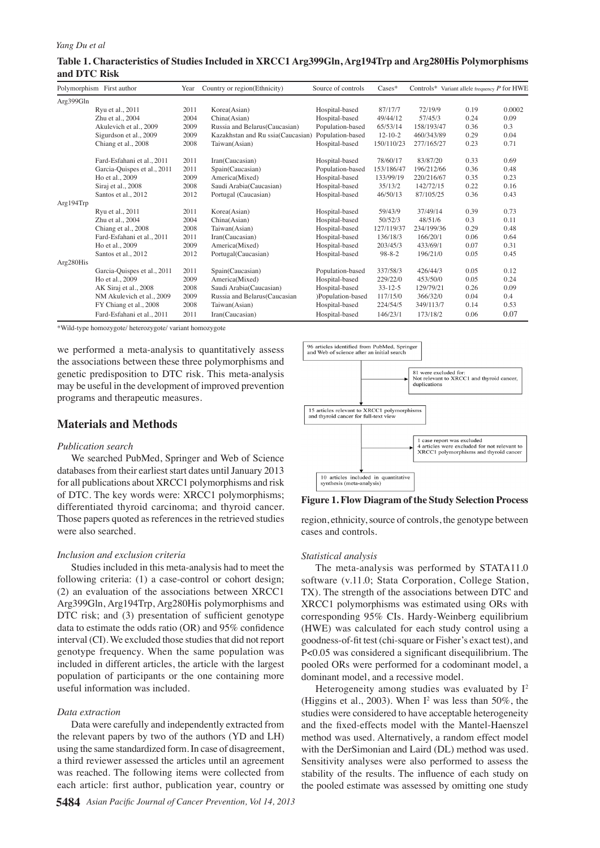## **Table 1. Characteristics of Studies Included in XRCC1 Arg399Gln, Arg194Trp and Arg280His Polymorphisms and DTC Risk**

|           | Polymorphism First author   | Year | Country or region(Ethnicity)      | Source of controls | $\text{Case}$ * |            | Controls* Variant allele frequency $P$ for HWE |        |
|-----------|-----------------------------|------|-----------------------------------|--------------------|-----------------|------------|------------------------------------------------|--------|
| Arg399Gln |                             |      |                                   |                    |                 |            |                                                |        |
|           | Ryu et al., 2011            | 2011 | Korea(Asian)                      | Hospital-based     | 87/17/7         | 72/19/9    | 0.19                                           | 0.0002 |
|           | Zhu et al., 2004            | 2004 | China(Asian)                      | Hospital-based     | 49/44/12        | 57/45/3    | 0.24                                           | 0.09   |
|           | Akulevich et al., 2009      | 2009 | Russia and Belarus (Caucasian)    | Population-based   | 65/53/14        | 158/193/47 | 0.36                                           | 0.3    |
|           | Sigurdson et al., 2009      | 2009 | Kazakhstan and Ru ssia(Caucasian) | Population-based   | $12 - 10 - 2$   | 460/343/89 | 0.29                                           | 0.04   |
|           | Chiang et al., 2008         | 2008 | Taiwan(Asian)                     | Hospital-based     | 150/110/23      | 277/165/27 | 0.23                                           | 0.71   |
|           | Fard-Esfahani et al., 2011  | 2011 | Iran(Caucasian)                   | Hospital-based     | 78/60/17        | 83/87/20   | 0.33                                           | 0.69   |
|           | Garcia-Quispes et al., 2011 | 2011 | Spain(Caucasian)                  | Population-based   | 153/186/47      | 196/212/66 | 0.36                                           | 0.48   |
|           | Ho et al., 2009             | 2009 | America(Mixed)                    | Hospital-based     | 133/99/19       | 220/216/67 | 0.35                                           | 0.23   |
|           | Siraj et al., 2008          | 2008 | Saudi Arabia(Caucasian)           | Hospital-based     | 35/13/2         | 142/72/15  | 0.22                                           | 0.16   |
|           | Santos et al., 2012         | 2012 | Portugal (Caucasian)              | Hospital-based     | 46/50/13        | 87/105/25  | 0.36                                           | 0.43   |
| Arg194Trp |                             |      |                                   |                    |                 |            |                                                |        |
|           | Ryu et al., 2011            | 2011 | Korea(Asian)                      | Hospital-based     | 59/43/9         | 37/49/14   | 0.39                                           | 0.73   |
|           | Zhu et al., 2004            | 2004 | China(Asian)                      | Hospital-based     | 50/52/3         | 48/51/6    | 0.3                                            | 0.11   |
|           | Chiang et al., 2008         | 2008 | Taiwan(Asian)                     | Hospital-based     | 127/119/37      | 234/199/36 | 0.29                                           | 0.48   |
|           | Fard-Esfahani et al., 2011  | 2011 | Iran(Caucasian)                   | Hospital-based     | 136/18/3        | 166/20/1   | 0.06                                           | 0.64   |
|           | Ho et al., 2009             | 2009 | America(Mixed)                    | Hospital-based     | 203/45/3        | 433/69/1   | 0.07                                           | 0.31   |
|           | Santos et al., 2012         | 2012 | Portugal(Caucasian)               | Hospital-based     | $98 - 8 - 2$    | 196/21/0   | 0.05                                           | 0.45   |
| Arg280His |                             |      |                                   |                    |                 |            |                                                |        |
|           | Garcia-Quispes et al., 2011 | 2011 | Spain(Caucasian)                  | Population-based   | 337/58/3        | 426/44/3   | 0.05                                           | 0.12   |
|           | Ho et al., 2009             | 2009 | America(Mixed)                    | Hospital-based     | 229/22/0        | 453/50/0   | 0.05                                           | 0.24   |
|           | AK Siraj et al., 2008       | 2008 | Saudi Arabia(Caucasian)           | Hospital-based     | $33 - 12 - 5$   | 129/79/21  | 0.26                                           | 0.09   |
|           | NM Akulevich et al., 2009   | 2009 | Russia and Belarus (Caucasian     | )Population-based  | 117/15/0        | 366/32/0   | 0.04                                           | 0.4    |
|           | FY Chiang et al., 2008      | 2008 | Taiwan(Asian)                     | Hospital-based     | 224/54/5        | 349/113/7  | 0.14                                           | 0.53   |
|           | Fard-Esfahani et al., 2011  | 2011 | Iran(Caucasian)                   | Hospital-based     | 146/23/1        | 173/18/2   | 0.06                                           | 0.07   |

\*Wild-type homozygote/ heterozygote/ variant homozygote

we performed a meta-analysis to quantitatively assess the associations between these three polymorphisms and genetic predisposition to DTC risk. This meta-analysis may be useful in the development of improved prevention programs and therapeutic measures.

## **Materials and Methods**

#### *Publication search*

We searched PubMed, Springer and Web of Science databases from their earliest start dates until January 2013 for all publications about XRCC1 polymorphisms and risk of DTC. The key words were: XRCC1 polymorphisms; differentiated thyroid carcinoma; and thyroid cancer. Those papers quoted as references in the retrieved studies were also searched.

#### *Inclusion and exclusion criteria*

Studies included in this meta-analysis had to meet the following criteria: (1) a case-control or cohort design; (2) an evaluation of the associations between XRCC1 Arg399Gln, Arg194Trp, Arg280His polymorphisms and DTC risk; and (3) presentation of sufficient genotype data to estimate the odds ratio (OR) and 95% confidence interval (CI). We excluded those studies that did not report genotype frequency. When the same population was included in different articles, the article with the largest population of participants or the one containing more useful information was included.

#### *Data extraction*

Data were carefully and independently extracted from the relevant papers by two of the authors (YD and LH) using the same standardized form. In case of disagreement, a third reviewer assessed the articles until an agreement was reached. The following items were collected from each article: first author, publication year, country or



**Figure 1. Flow Diagram of the Study Selection Process**

region, ethnicity, source of controls, the genotype between cases and controls.

#### *Statistical analysis*

The meta-analysis was performed by STATA11.0 software (v.11.0; Stata Corporation, College Station, TX). The strength of the associations between DTC and XRCC1 polymorphisms was estimated using ORs with corresponding 95% CIs. Hardy-Weinberg equilibrium (HWE) was calculated for each study control using a goodness-of-fit test (chi-square or Fisher's exact test), and P<0.05 was considered a significant disequilibrium. The pooled ORs were performed for a codominant model, a dominant model, and a recessive model.

Heterogeneity among studies was evaluated by  $I^2$ (Higgins et al., 2003). When  $I^2$  was less than 50%, the studies were considered to have acceptable heterogeneity and the fixed-effects model with the Mantel-Haenszel method was used. Alternatively, a random effect model with the DerSimonian and Laird (DL) method was used. Sensitivity analyses were also performed to assess the stability of the results. The influence of each study on the pooled estimate was assessed by omitting one study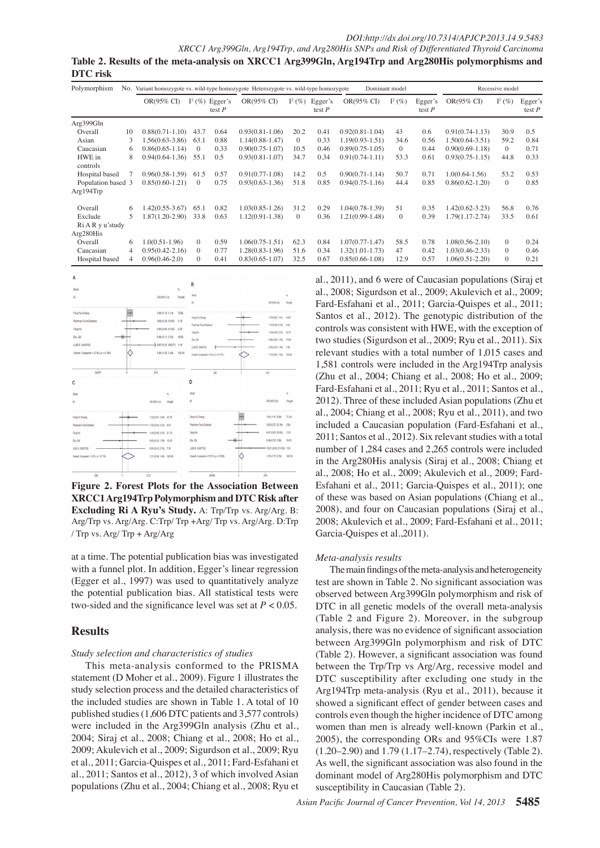*XRCC1 Arg399Gln, Arg194Trp, and Arg280His SNPs and Risk of Differentiated Thyroid Carcinoma* **Table 2. Results of the meta-analysis on XRCC1 Arg399Gln, Arg194Trp and Arg280His polymorphisms and DTC risk**

| Polymorphism                    | No. | Variant homozygote vs. wild-type homozygote Heterozygote vs. wild-type homozygote<br>Dominant model |           |                     |                       |           |                     |                     |              | Recessive model     |                       |              |                     |
|---------------------------------|-----|-----------------------------------------------------------------------------------------------------|-----------|---------------------|-----------------------|-----------|---------------------|---------------------|--------------|---------------------|-----------------------|--------------|---------------------|
|                                 |     | OR(95% CI)                                                                                          | $I^2(\%)$ | Egger's<br>test $P$ | $OR(95\% \text{ CI})$ | $I^2(\%)$ | Egger's<br>test $P$ | OR(95% CI)          | $I^2(\%)$    | Egger's<br>test $P$ | $OR(95\% \text{ CI})$ | $I^2(\%)$    | Egger's<br>test $P$ |
| Arg399Gln                       |     |                                                                                                     |           |                     |                       |           |                     |                     |              |                     |                       |              |                     |
| Overall                         | 10  | $0.88(0.71-1.10)$                                                                                   | 43.7      | 0.64                | $0.93(0.81 - 1.06)$   | 20.2      | 0.41                | $0.92(0.81 - 1.04)$ | 43           | 0.6                 | $0.91(0.74-1.13)$     | 30.9         | 0.5                 |
| Asian                           | 3   | $1.56(0.63-3.86)$                                                                                   | 63.1      | 0.88                | $1.14(0.88-1.47)$     | $\Omega$  | 0.33                | $1.19(0.93 - 1.51)$ | 34.6         | 0.56                | $1.50(0.64-3.51)$     | 59.2         | 0.84                |
| Caucasian                       | 6   | $0.86(0.65-1.14)$                                                                                   | $\Omega$  | 0.33                | $0.90(0.75 - 1.07)$   | 10.5      | 0.46                | $0.89(0.75-1.05)$   | $\mathbf{0}$ | 0.44                | $0.90(0.69-1.18)$     | $\Omega$     | 0.71                |
| HWE in<br>controls              | 8   | $0.94(0.64-1.36)$                                                                                   | 55.1      | 0.5                 | $0.93(0.81 - 1.07)$   | 34.7      | 0.34                | $0.91(0.74-1.11)$   | 53.3         | 0.61                | $0.93(0.75 - 1.15)$   | 44.8         | 0.33                |
| Hospital based                  |     | $0.96(0.58-1.59)$                                                                                   | 61.5      | 0.57                | $0.91(0.77-1.08)$     | 14.2      | 0.5                 | $0.90(0.71 - 1.14)$ | 50.7         | 0.71                | $1.0(0.64-1.56)$      | 53.2         | 0.53                |
| Population based 3<br>Arg194Trp |     | $0.85(0.60-1.21)$                                                                                   | $\Omega$  | 0.75                | $0.93(0.63 - 1.36)$   | 51.8      | 0.85                | $0.94(0.75-1.16)$   | 44.4         | 0.85                | $0.86(0.62 - 1.20)$   | $\theta$     | 0.85100.0           |
| Overall                         | 6   | 1.42(0.55-3.67)                                                                                     | 65.1      | 0.82                | $1.03(0.85 - 1.26)$   | 31.2      | 0.29                | 1.04(0.78-1.39)     | 51           | 0.35                | $1.42(0.62 - 3.23)$   | 56.8         | 0.76                |
| Exclude                         | 5   | 1.87(1.20-2.90)                                                                                     | 33.8      | 0.63                | $1.12(0.91 - 1.38)$   | $\Omega$  | 0.36                | 1.21(0.99-1.48)     | $\mathbf{0}$ | 0.39                | $1.79(1.17-2.74)$     | 33.5         | 0.61                |
| Ri A R y u'study<br>Arg280His   |     |                                                                                                     |           |                     |                       |           |                     |                     |              |                     |                       |              | 75.0                |
| Overall                         | 6   | $1.0(0.51-1.96)$                                                                                    | $\Omega$  | 0.59                | $1.06(0.75 - 1.51)$   | 62.3      | 0.84                | $1.07(0.77 - 1.47)$ | 58.5         | 0.78                | $1.08(0.56-2.10)$     | $\Omega$     | 0.24                |
| Caucasian                       | 4   | $0.95(0.42 - 2.16)$                                                                                 | $\left($  | 0.77                | $1.28(0.83 - 1.96)$   | 51.6      | 0.34                | $1.32(1.01-1.73)$   | 47           | 0.42                | $1.03(0.46-2.33)$     | $\Omega$     | 0.46                |
| Hospital based                  | 4   | $0.96(0.46-2.0)$                                                                                    | $\Omega$  | 0.41                | $0.83(0.65 - 1.07)$   | 32.5      | 0.67                | $0.85(0.66 - 1.08)$ | 12.9         | 0.57                | $1.06(0.51-2.20)$     | $\mathbf{0}$ | 0.21<br>-50.0       |



**Figure 2. Forest Plots for the Association Between XRCC1 Arg194Trp Polymorphism and DTC Risk after Excluding Ri A Ryu's Study.** A: Trp/Trp vs. Arg/Arg. B: Arg/Trp vs. Arg/Arg. C:Trp/ Trp +Arg/ Trp vs. Arg/Arg. D:Trp / Trp vs. Arg/ Trp + Arg/Arg

at a time. The potential publication bias was investigated with a funnel plot. In addition, Egger's linear regression (Egger et al., 1997) was used to quantitatively analyze the potential publication bias. All statistical tests were two-sided and the significance level was set at  $P < 0.05$ .

## **Results**

## *Study selection and characteristics of studies*

This meta-analysis conformed to the PRISMA statement (D Moher et al., 2009). Figure 1 illustrates the study selection process and the detailed characteristics of the included studies are shown in Table 1. A total of 10 published studies (1,606 DTC patients and 3,577 controls) were included in the Arg399Gln analysis (Zhu et al., 2004; Siraj et al., 2008; Chiang et al., 2008; Ho et al., 2009; Akulevich et al., 2009; Sigurdson et al., 2009; Ryu et al., 2011; Garcia-Quispes et al., 2011; Fard-Esfahani et al., 2011; Santos et al., 2012), 3 of which involved Asian populations (Zhu et al., 2004; Chiang et al., 2008; Ryu et

0 25.0 Fard-Esfahani et al., 2011; Garcia-Quispes et al., 2011; al., 2011), and 6 were of Caucasian populations (Siraj et al., 2008; Sigurdson et al., 2009; Akulevich et al., 2009; Santos et al., 2012). The genotypic distribution of the controls was consistent with HWE, with the exception of two studies (Sigurdson et al., 2009; Ryu et al., 2011). Six relevant studies with a total number of 1,015 cases and 1,581 controls were included in the Arg194Trp analysis (Zhu et al., 2004; Chiang et al., 2008; Ho et al., 2009; Fard-Esfahani et al., 2011; Ryu et al., 2011; Santos et al., 2012). Three of these included Asian populations (Zhu et al., 2004; Chiang et al., 2008; Ryu et al., 2011), and two included a Caucasian population (Fard-Esfahani et al., 2011; Santos et al., 2012). Six relevant studies with a total number of 1,284 cases and 2,265 controls were included in the Arg280His analysis (Siraj et al., 2008; Chiang et al., 2008; Ho et al., 2009; Akulevich et al., 2009; Fard-Esfahani et al., 2011; Garcia-Quispes et al., 2011); one of these was based on Asian populations (Chiang et al., 2008), and four on Caucasian populations (Siraj et al., 2008; Akulevich et al., 2009; Fard-Esfahani et al., 2011; Garcia-Quispes et al.,2011).

## *Meta-analysis results*

The main findings of the meta-analysis and heterogeneity test are shown in Table 2. No significant association was observed between Arg399Gln polymorphism and risk of DTC in all genetic models of the overall meta-analysis (Table 2 and Figure 2). Moreover, in the subgroup analysis, there was no evidence of significant association between Arg399Gln polymorphism and risk of DTC (Table 2). However, a significant association was found between the Trp/Trp vs Arg/Arg, recessive model and DTC susceptibility after excluding one study in the Arg194Trp meta-analysis (Ryu et al., 2011), because it showed a significant effect of gender between cases and controls even though the higher incidence of DTC among women than men is already well-known (Parkin et al., 2005), the corresponding ORs and 95%CIs were 1.87 (1.20–2.90) and 1.79 (1.17–2.74), respectively (Table 2). As well, the significant association was also found in the dominant model of Arg280His polymorphism and DTC susceptibility in Caucasian (Table 2).

Newly diagnosed without treatment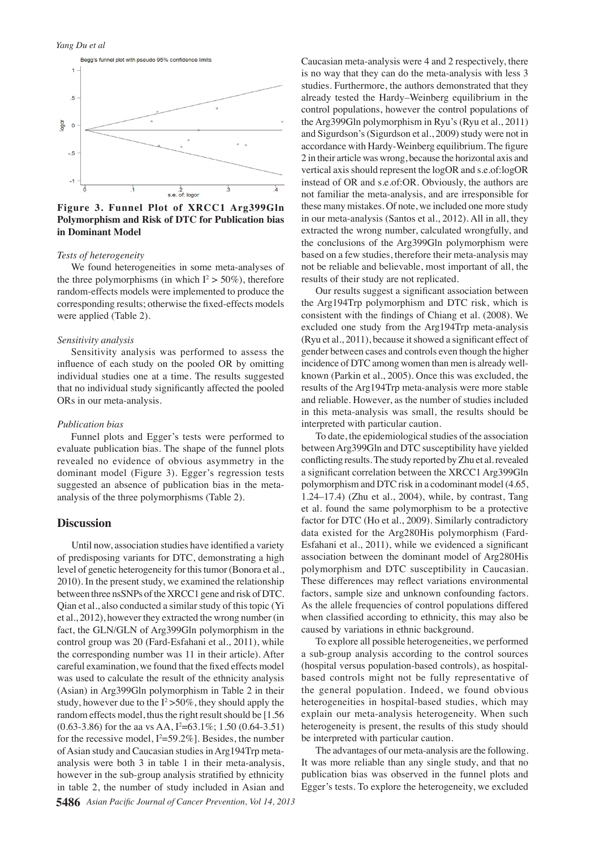

**Figure 3. Funnel Plot of XRCC1 Arg399Gln Polymorphism and Risk of DTC for Publication bias in Dominant Model**

#### *Tests of heterogeneity*

We found heterogeneities in some meta-analyses of the three polymorphisms (in which  $I^2 > 50\%$ ), therefore random-effects models were implemented to produce the corresponding results; otherwise the fixed-effects models were applied (Table 2).

#### *Sensitivity analysis*

Sensitivity analysis was performed to assess the influence of each study on the pooled OR by omitting individual studies one at a time. The results suggested that no individual study significantly affected the pooled ORs in our meta-analysis.

### *Publication bias*

Funnel plots and Egger's tests were performed to evaluate publication bias. The shape of the funnel plots revealed no evidence of obvious asymmetry in the dominant model (Figure 3). Egger's regression tests suggested an absence of publication bias in the metaanalysis of the three polymorphisms (Table 2).

## **Discussion**

Until now, association studies have identified a variety of predisposing variants for DTC, demonstrating a high level of genetic heterogeneity for this tumor (Bonora et al., 2010). In the present study, we examined the relationship between three nsSNPs of the XRCC1 gene and risk of DTC. Qian et al., also conducted a similar study of this topic (Yi et al., 2012), however they extracted the wrong number (in fact, the GLN/GLN of Arg399Gln polymorphism in the control group was 20 (Fard-Esfahani et al., 2011), while the corresponding number was 11 in their article). After careful examination, we found that the fixed effects model was used to calculate the result of the ethnicity analysis (Asian) in Arg399Gln polymorphism in Table 2 in their study, however due to the  $I^2 > 50\%$ , they should apply the random effects model, thus the right result should be [1.56  $(0.63-3.86)$  for the aa vs AA,  $I^2=63.1\%$ ; 1.50  $(0.64-3.51)$ for the recessive model,  $I^2 = 59.2\%$ ]. Besides, the number of Asian study and Caucasian studies in Arg194Trp metaanalysis were both 3 in table 1 in their meta-analysis, however in the sub-group analysis stratified by ethnicity in table 2, the number of study included in Asian and

Caucasian meta-analysis were 4 and 2 respectively, there is no way that they can do the meta-analysis with less 3 studies. Furthermore, the authors demonstrated that they already tested the Hardy–Weinberg equilibrium in the control populations, however the control populations of the Arg399Gln polymorphism in Ryu's (Ryu et al., 2011) and Sigurdson's (Sigurdson et al., 2009) study were not in accordance with Hardy-Weinberg equilibrium. The figure 2 in their article was wrong, because the horizontal axis and vertical axis should represent the logOR and s.e.of:logOR instead of OR and s.e.of:OR. Obviously, the authors are not familiar the meta-analysis, and are irresponsible for these many mistakes. Of note, we included one more study in our meta-analysis (Santos et al., 2012). All in all, they extracted the wrong number, calculated wrongfully, and the conclusions of the Arg399Gln polymorphism were based on a few studies, therefore their meta-analysis may not be reliable and believable, most important of all, the results of their study are not replicated.

Our results suggest a significant association between the Arg194Trp polymorphism and DTC risk, which is consistent with the findings of Chiang et al. (2008). We excluded one study from the Arg194Trp meta-analysis (Ryu et al., 2011), because it showed a significant effect of gender between cases and controls even though the higher incidence of DTC among women than men is already wellknown (Parkin et al., 2005). Once this was excluded, the results of the Arg194Trp meta-analysis were more stable and reliable. However, as the number of studies included in this meta-analysis was small, the results should be interpreted with particular caution.

To date, the epidemiological studies of the association between Arg399Gln and DTC susceptibility have yielded conflicting results. The study reported by Zhu et al. revealed a significant correlation between the XRCC1 Arg399Gln polymorphism and DTC risk in a codominant model (4.65, 1.24–17.4) (Zhu et al., 2004), while, by contrast, Tang et al. found the same polymorphism to be a protective factor for DTC (Ho et al., 2009). Similarly contradictory data existed for the Arg280His polymorphism (Fard-Esfahani et al., 2011), while we evidenced a significant association between the dominant model of Arg280His polymorphism and DTC susceptibility in Caucasian. These differences may reflect variations environmental factors, sample size and unknown confounding factors. As the allele frequencies of control populations differed when classified according to ethnicity, this may also be caused by variations in ethnic background.

To explore all possible heterogeneities, we performed a sub-group analysis according to the control sources (hospital versus population-based controls), as hospitalbased controls might not be fully representative of the general population. Indeed, we found obvious heterogeneities in hospital-based studies, which may explain our meta-analysis heterogeneity. When such heterogeneity is present, the results of this study should be interpreted with particular caution.

The advantages of our meta-analysis are the following. It was more reliable than any single study, and that no publication bias was observed in the funnel plots and Egger's tests. To explore the heterogeneity, we excluded